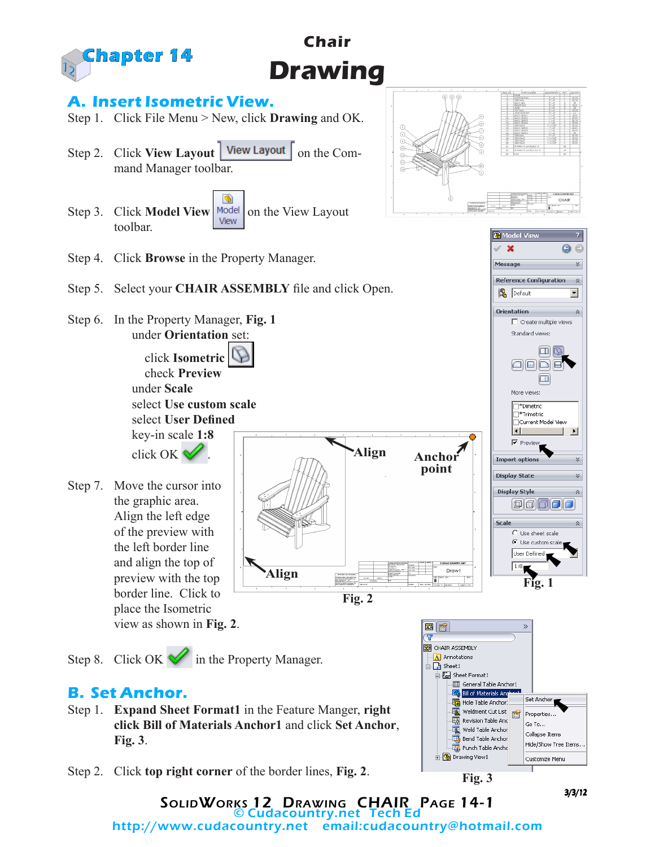

**Chair**

Step 2. Click **top right corner** of the border lines, **Fig. 2**.

3/3/12

**Fig. 3**

SolidWorks 12 Drawing CHAIR Page 14-1 © Cudacountry.net Tech Ed

http://www.cudacountry.net email:cudacountry@hotmail.com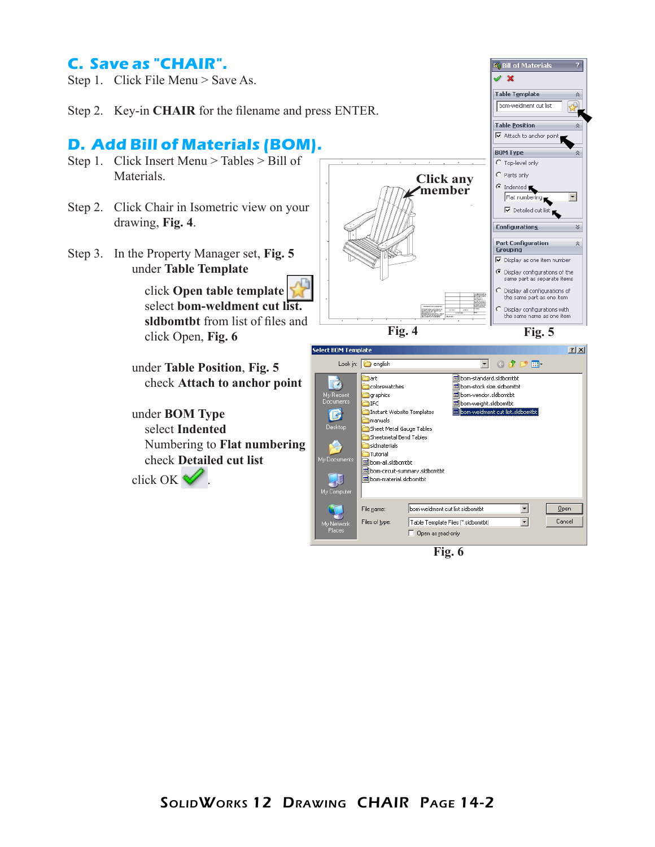## **C. Save as "CHAIR".**

- Step 1. Click File Menu > Save As.
- Step 2. Key-in **CHAIR** for the filename and press ENTER.

## **D. Add Bill of Materials (BOM).**

- Step 1. Click Insert Menu > Tables > Bill of Materials.
- Step 2. Click Chair in Isometric view on your drawing, **Fig. 4**.
- Step 3. In the Property Manager set, **Fig. 5** under **Table Template**

 click **Open table template** select **bom-weldment cut list. sldbomtbt** from list of files and click Open, **Fig. 6**

under **Table Position**, **Fig. 5** check **Attach to anchor point**

under **BOM Type** select **Indented** Numbering to **Flat numbering** check **Detailed cut list** click OK .



**E** Bill of Materials

 $\overline{r}$ 

| <b>Select BOM Template</b><br>$2 \times$                         |                                                                                                                                                                                                                                                                                                                                                                                                           |                |
|------------------------------------------------------------------|-----------------------------------------------------------------------------------------------------------------------------------------------------------------------------------------------------------------------------------------------------------------------------------------------------------------------------------------------------------------------------------------------------------|----------------|
|                                                                  | 6 彦 彦 田<br>Look in: $\bigcirc$ english                                                                                                                                                                                                                                                                                                                                                                    |                |
| My Recent<br>Documents<br>Desktop<br>My Documents<br>My Computer | छौ bom-standard.sidbomtbt<br>hart<br>colorswatches<br>bom-stock size.sIdbomtbt<br>bom-vendor.sidbomtbt<br>graphics<br>bom-weight.sldbomtbt<br><b>TIFC</b><br>bom-weldment cut list.sldbomtbt<br>Instant Website Templates<br>manuals<br>Sheet Metal Gauge Tables<br>i Sheetmetal Bend Tables<br>isldmaterials<br>Tutorial<br>lom-all.sidbomtbt<br>bom-circuit-summary.sldbomtbt<br>bom-material.sidbomtbt |                |
| My Network<br>Places                                             | bom-weldment cut list.sldbomtbt<br>File name:<br>Files of type:<br>Table Template Files (".sldbomtbt)<br>Open as read-only                                                                                                                                                                                                                                                                                | Open<br>Cancel |

**Fig. 6**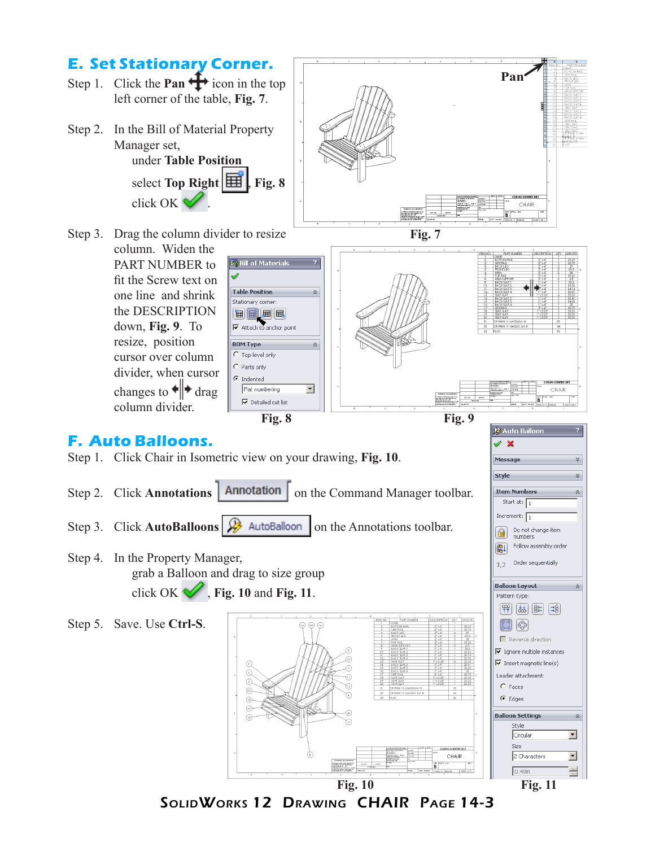

SolidWorks 12 Drawing CHAIR Page 14-3